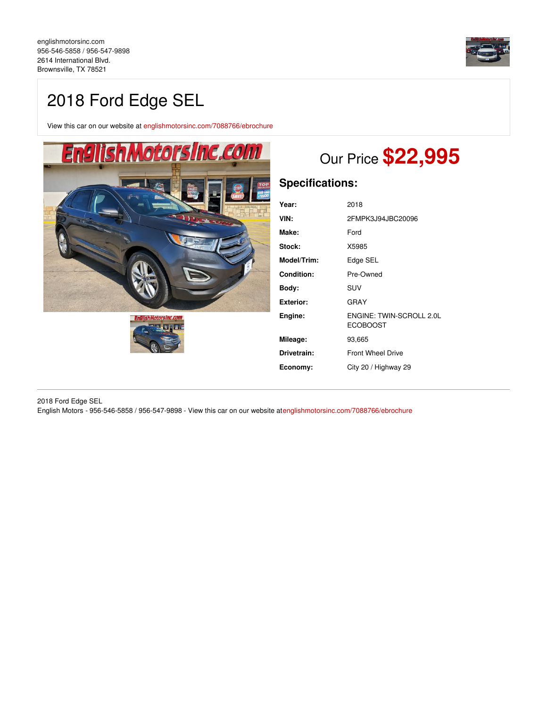

# 2018 Ford Edge SEL

View this car on our website at [englishmotorsinc.com/7088766/ebrochure](https://englishmotorsinc.com/vehicle/7088766/2018-ford-edge-sel-brownsville-tx-78521/7088766/ebrochure)





# Our Price **\$22,995**

# **Specifications:**

| Year:             | 2018                                        |  |
|-------------------|---------------------------------------------|--|
| VIN:              | 2FMPK3J94JBC20096                           |  |
| Make:             | Ford                                        |  |
| Stock:            | X5985                                       |  |
| Model/Trim:       | Edge SEL                                    |  |
| <b>Condition:</b> | Pre-Owned                                   |  |
| Body:             | <b>SUV</b>                                  |  |
| <b>Exterior:</b>  | GRAY                                        |  |
| Engine:           | ENGINE: TWIN-SCROLL 2.0L<br><b>ECOBOOST</b> |  |
| Mileage:          | 93,665                                      |  |
| Drivetrain:       | <b>Front Wheel Drive</b>                    |  |
| Economy:          | City 20 / Highway 29                        |  |

2018 Ford Edge SEL English Motors - 956-546-5858 / 956-547-9898 - View this car on our website a[tenglishmotorsinc.com/7088766/ebrochure](https://englishmotorsinc.com/vehicle/7088766/2018-ford-edge-sel-brownsville-tx-78521/7088766/ebrochure)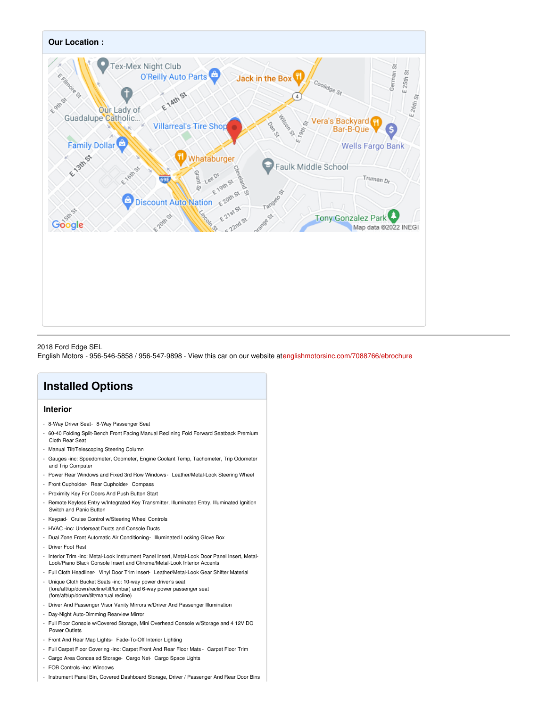

#### 2018 Ford Edge SEL

English Motors - 956-546-5858 / 956-547-9898 - View this car on our website a[tenglishmotorsinc.com/7088766/ebrochure](https://englishmotorsinc.com/vehicle/7088766/2018-ford-edge-sel-brownsville-tx-78521/7088766/ebrochure)

# **Installed Options**

## **Interior**

- 8-Way Driver Seat- 8-Way Passenger Seat
- 60-40 Folding Split-Bench Front Facing Manual Reclining Fold Forward Seatback Premium Cloth Rear Seat
- Manual Tilt/Telescoping Steering Column
- Gauges -inc: Speedometer, Odometer, Engine Coolant Temp, Tachometer, Trip Odometer and Trip Computer
- Power Rear Windows and Fixed 3rd Row Windows- Leather/Metal-Look Steering Wheel
- Front Cupholder- Rear Cupholder- Compass
- Proximity Key For Doors And Push Button Start
- Remote Keyless Entry w/Integrated Key Transmitter, Illuminated Entry, Illuminated Ignition Switch and Panic Button
- Keypad- Cruise Control w/Steering Wheel Controls
- HVAC -inc: Underseat Ducts and Console Ducts
- Dual Zone Front Automatic Air Conditioning- Illuminated Locking Glove Box
- Driver Foot Rest
- Interior Trim -inc: Metal-Look Instrument Panel Insert, Metal-Look Door Panel Insert, Metal-Look/Piano Black Console Insert and Chrome/Metal-Look Interior Accents
- Full Cloth Headliner- Vinyl Door Trim Insert- Leather/Metal-Look Gear Shifter Material - Unique Cloth Bucket Seats -inc: 10-way power driver's seat
- (fore/aft/up/down/recline/tilt/lumbar) and 6-way power passenger seat (fore/aft/up/down/tilt/manual recline)
- Driver And Passenger Visor Vanity Mirrors w/Driver And Passenger Illumination
- Day-Night Auto-Dimming Rearview Mirror
- Full Floor Console w/Covered Storage, Mini Overhead Console w/Storage and 4 12V DC Power Outlets
- Front And Rear Map Lights- Fade-To-Off Interior Lighting
- Full Carpet Floor Covering -inc: Carpet Front And Rear Floor Mats Carpet Floor Trim
- Cargo Area Concealed Storage- Cargo Net- Cargo Space Lights
- FOB Controls -inc: Windows
- Instrument Panel Bin, Covered Dashboard Storage, Driver / Passenger And Rear Door Bins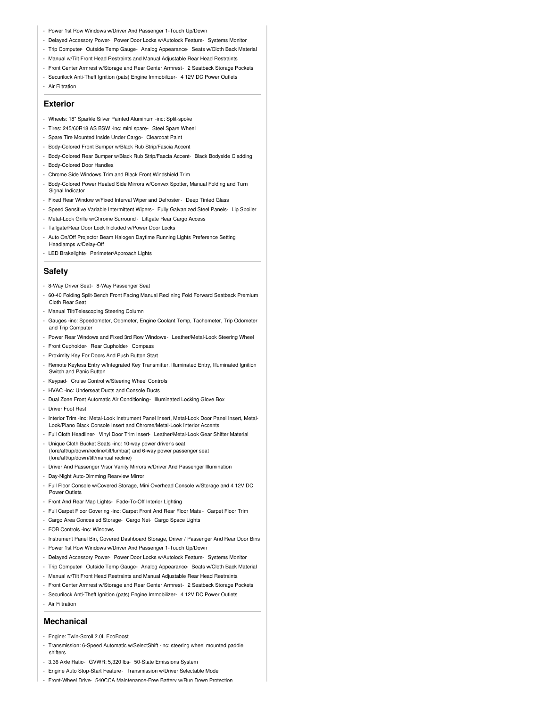- Power 1st Row Windows w/Driver And Passenger 1-Touch Up/Down
- Delayed Accessory Power- Power Door Locks w/Autolock Feature- Systems Monitor
- Trip Computer- Outside Temp Gauge- Analog Appearance- Seats w/Cloth Back Material
- Manual w/Tilt Front Head Restraints and Manual Adjustable Rear Head Restraints
- Front Center Armrest w/Storage and Rear Center Armrest- 2 Seatback Storage Pockets
- Securilock Anti-Theft Ignition (pats) Engine Immobilizer- 4 12V DC Power Outlets
- Air Filtration

#### **Exterior**

- Wheels: 18" Sparkle Silver Painted Aluminum -inc: Split-spoke
- Tires: 245/60R18 AS BSW -inc: mini spare- Steel Spare Wheel
- Spare Tire Mounted Inside Under Cargo- Clearcoat Paint
- Body-Colored Front Bumper w/Black Rub Strip/Fascia Accent
- Body-Colored Rear Bumper w/Black Rub Strip/Fascia Accent- Black Bodyside Cladding
- Body-Colored Door Handles
- Chrome Side Windows Trim and Black Front Windshield Trim
- Body-Colored Power Heated Side Mirrors w/Convex Spotter, Manual Folding and Turn Signal Indicator
- Fixed Rear Window w/Fixed Interval Wiper and Defroster- Deep Tinted Glass
- Speed Sensitive Variable Intermittent Wipers- Fully Galvanized Steel Panels- Lip Spoiler
- Metal-Look Grille w/Chrome Surround Liftgate Rear Cargo Access
- Tailgate/Rear Door Lock Included w/Power Door Locks
- Auto On/Off Projector Beam Halogen Daytime Running Lights Preference Setting Headlamps w/Delay-Off
- LED Brakelights- Perimeter/Approach Lights

### **Safety**

- 8-Way Driver Seat- 8-Way Passenger Seat
- 60-40 Folding Split-Bench Front Facing Manual Reclining Fold Forward Seatback Premium Cloth Rear Sea
- Manual Tilt/Telescoping Steering Column
- Gauges -inc: Speedometer, Odometer, Engine Coolant Temp, Tachometer, Trip Odometer and Trip Computer
- Power Rear Windows and Fixed 3rd Row Windows- Leather/Metal-Look Steering Wheel
- Front Cupholder- Rear Cupholder- Compass
- Proximity Key For Doors And Push Button Start
- Remote Keyless Entry w/Integrated Key Transmitter, Illuminated Entry, Illuminated Ignition Switch and Panic Button
- Keypad- Cruise Control w/Steering Wheel Controls
- HVAC -inc: Underseat Ducts and Console Ducts
- Dual Zone Front Automatic Air Conditioning- Illuminated Locking Glove Box
- Driver Foot Rest
- Interior Trim -inc: Metal-Look Instrument Panel Insert, Metal-Look Door Panel Insert, Metal-Look/Piano Black Console Insert and Chrome/Metal-Look Interior Accents
- Full Cloth Headliner- Vinyl Door Trim Insert- Leather/Metal-Look Gear Shifter Material
- Unique Cloth Bucket Seats -inc: 10-way power driver's seat (fore/aft/up/down/recline/tilt/lumbar) and 6-way power passenger seat (fore/aft/up/down/tilt/manual recline)
- Driver And Passenger Visor Vanity Mirrors w/Driver And Passenger Illumination
- Day-Night Auto-Dimming Rearview Mirror
- Full Floor Console w/Covered Storage, Mini Overhead Console w/Storage and 4 12V DC Power Outlets
- Front And Rear Map Lights- Fade-To-Off Interior Lighting
- Full Carpet Floor Covering -inc: Carpet Front And Rear Floor Mats Carpet Floor Trim
- Cargo Area Concealed Storage- Cargo Net- Cargo Space Lights
- FOB Controls -inc: Windows
- Instrument Panel Bin, Covered Dashboard Storage, Driver / Passenger And Rear Door Bins
- Power 1st Row Windows w/Driver And Passenger 1-Touch Up/Down
- Delayed Accessory Power- Power Door Locks w/Autolock Feature- Systems Monitor
- Trip Computer- Outside Temp Gauge- Analog Appearance- Seats w/Cloth Back Material
- Manual w/Tilt Front Head Restraints and Manual Adjustable Rear Head Restraints
- Front Center Armrest w/Storage and Rear Center Armrest- 2 Seatback Storage Pockets
- Securilock Anti-Theft Ignition (pats) Engine Immobilizer- 4 12V DC Power Outlets
- Air Filtration

### **Mechanical**

- Engine: Twin-Scroll 2.0L EcoBoost
- Transmission: 6-Speed Automatic w/SelectShift -inc: steering wheel mounted paddle shifters
- 3.36 Axle Ratio- GVWR: 5,320 lbs- 50-State Emissions System
- Engine Auto Stop-Start Feature- Transmission w/Driver Selectable Mode
- Front-Wheel Drive- 540CCA Maintenance-Free Battery w/Run Down Protection